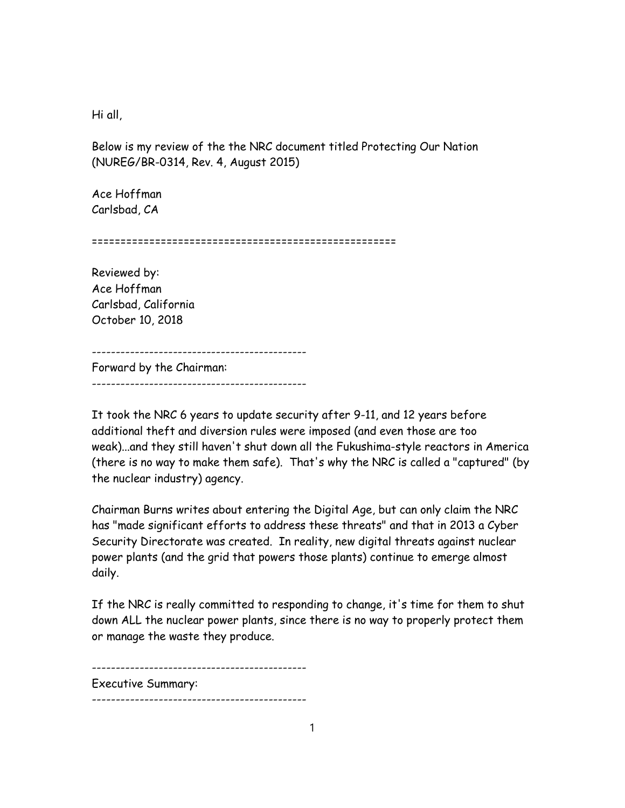Hi all,

Below is my review of the the NRC document titled Protecting Our Nation (NUREG/BR-0314, Rev. 4, August 2015)

Ace Hoffman Carlsbad, CA

=====================================================

Reviewed by: Ace Hoffman Carlsbad, California October 10, 2018

---------------------------------------------

Forward by the Chairman: ---------------------------------------------

It took the NRC 6 years to update security after 9-11, and 12 years before additional theft and diversion rules were imposed (and even those are too weak)...and they still haven't shut down all the Fukushima-style reactors in America (there is no way to make them safe). That's why the NRC is called a "captured" (by the nuclear industry) agency.

Chairman Burns writes about entering the Digital Age, but can only claim the NRC has "made significant efforts to address these threats" and that in 2013 a Cyber Security Directorate was created. In reality, new digital threats against nuclear power plants (and the grid that powers those plants) continue to emerge almost daily.

If the NRC is really committed to responding to change, it's time for them to shut down ALL the nuclear power plants, since there is no way to properly protect them or manage the waste they produce.

--------------------------------------------- Executive Summary: ---------------------------------------------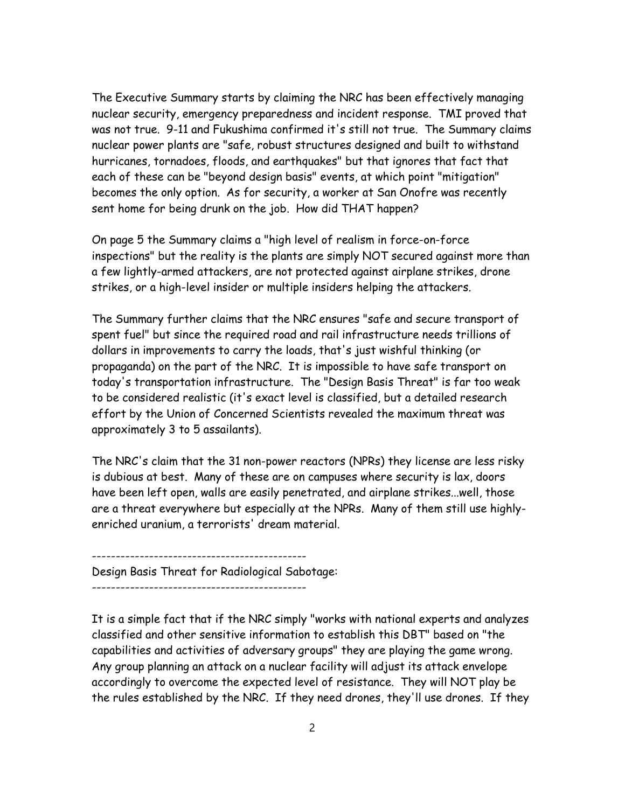The Executive Summary starts by claiming the NRC has been effectively managing nuclear security, emergency preparedness and incident response. TMI proved that was not true. 9-11 and Fukushima confirmed it's still not true. The Summary claims nuclear power plants are "safe, robust structures designed and built to withstand hurricanes, tornadoes, floods, and earthquakes" but that ignores that fact that each of these can be "beyond design basis" events, at which point "mitigation" becomes the only option. As for security, a worker at San Onofre was recently sent home for being drunk on the job. How did THAT happen?

On page 5 the Summary claims a "high level of realism in force-on-force inspections" but the reality is the plants are simply NOT secured against more than a few lightly-armed attackers, are not protected against airplane strikes, drone strikes, or a high-level insider or multiple insiders helping the attackers.

The Summary further claims that the NRC ensures "safe and secure transport of spent fuel" but since the required road and rail infrastructure needs trillions of dollars in improvements to carry the loads, that's just wishful thinking (or propaganda) on the part of the NRC. It is impossible to have safe transport on today's transportation infrastructure. The "Design Basis Threat" is far too weak to be considered realistic (it's exact level is classified, but a detailed research effort by the Union of Concerned Scientists revealed the maximum threat was approximately 3 to 5 assailants).

The NRC's claim that the 31 non-power reactors (NPRs) they license are less risky is dubious at best. Many of these are on campuses where security is lax, doors have been left open, walls are easily penetrated, and airplane strikes...well, those are a threat everywhere but especially at the NPRs. Many of them still use highlyenriched uranium, a terrorists' dream material.

--------------------------------------------- Design Basis Threat for Radiological Sabotage:

---------------------------------------------

It is a simple fact that if the NRC simply "works with national experts and analyzes classified and other sensitive information to establish this DBT" based on "the capabilities and activities of adversary groups" they are playing the game wrong. Any group planning an attack on a nuclear facility will adjust its attack envelope accordingly to overcome the expected level of resistance. They will NOT play be the rules established by the NRC. If they need drones, they'll use drones. If they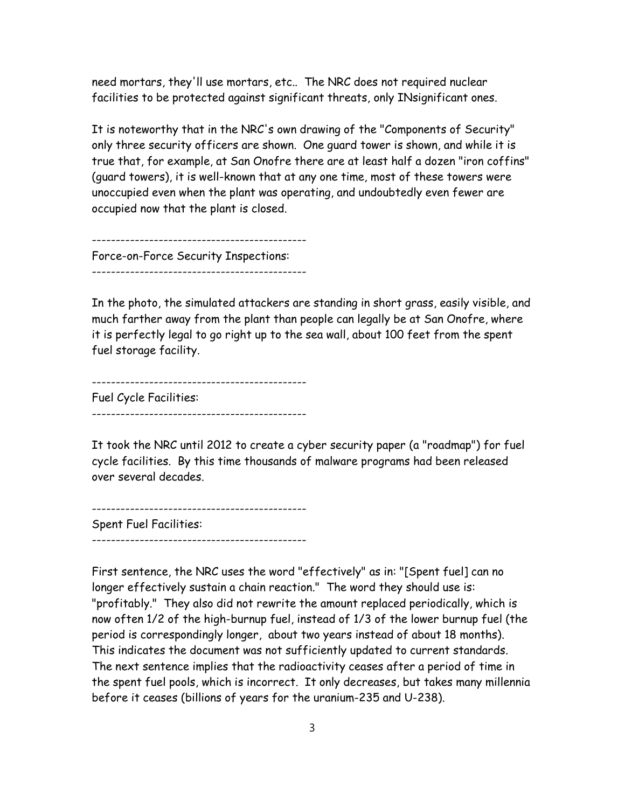need mortars, they'll use mortars, etc.. The NRC does not required nuclear facilities to be protected against significant threats, only INsignificant ones.

It is noteworthy that in the NRC's own drawing of the "Components of Security" only three security officers are shown. One guard tower is shown, and while it is true that, for example, at San Onofre there are at least half a dozen "iron coffins" (guard towers), it is well-known that at any one time, most of these towers were unoccupied even when the plant was operating, and undoubtedly even fewer are occupied now that the plant is closed.

--------------------------------------------- Force-on-Force Security Inspections: ---------------------------------------------

In the photo, the simulated attackers are standing in short grass, easily visible, and much farther away from the plant than people can legally be at San Onofre, where it is perfectly legal to go right up to the sea wall, about 100 feet from the spent fuel storage facility.

--------------------------------------------- Fuel Cycle Facilities: ---------------------------------------------

It took the NRC until 2012 to create a cyber security paper (a "roadmap") for fuel cycle facilities. By this time thousands of malware programs had been released over several decades.

--------------------------------------------- Spent Fuel Facilities: ---------------------------------------------

First sentence, the NRC uses the word "effectively" as in: "[Spent fuel] can no longer effectively sustain a chain reaction." The word they should use is: "profitably." They also did not rewrite the amount replaced periodically, which is now often 1/2 of the high-burnup fuel, instead of 1/3 of the lower burnup fuel (the period is correspondingly longer, about two years instead of about 18 months). This indicates the document was not sufficiently updated to current standards. The next sentence implies that the radioactivity ceases after a period of time in the spent fuel pools, which is incorrect. It only decreases, but takes many millennia before it ceases (billions of years for the uranium-235 and U-238).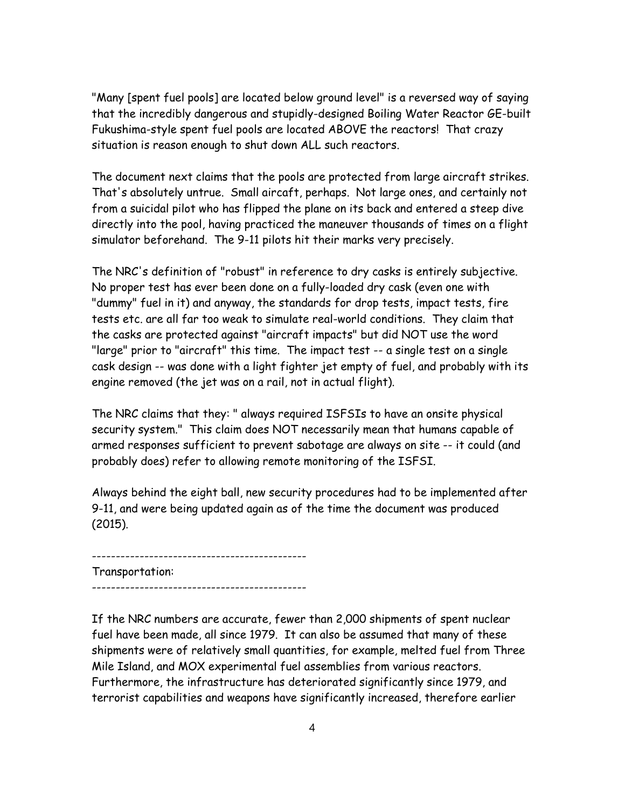"Many [spent fuel pools] are located below ground level" is a reversed way of saying that the incredibly dangerous and stupidly-designed Boiling Water Reactor GE-built Fukushima-style spent fuel pools are located ABOVE the reactors! That crazy situation is reason enough to shut down ALL such reactors.

The document next claims that the pools are protected from large aircraft strikes. That's absolutely untrue. Small aircaft, perhaps. Not large ones, and certainly not from a suicidal pilot who has flipped the plane on its back and entered a steep dive directly into the pool, having practiced the maneuver thousands of times on a flight simulator beforehand. The 9-11 pilots hit their marks very precisely.

The NRC's definition of "robust" in reference to dry casks is entirely subjective. No proper test has ever been done on a fully-loaded dry cask (even one with "dummy" fuel in it) and anyway, the standards for drop tests, impact tests, fire tests etc. are all far too weak to simulate real-world conditions. They claim that the casks are protected against "aircraft impacts" but did NOT use the word "large" prior to "aircraft" this time. The impact test -- a single test on a single cask design -- was done with a light fighter jet empty of fuel, and probably with its engine removed (the jet was on a rail, not in actual flight).

The NRC claims that they: " always required ISFSIs to have an onsite physical security system." This claim does NOT necessarily mean that humans capable of armed responses sufficient to prevent sabotage are always on site -- it could (and probably does) refer to allowing remote monitoring of the ISFSI.

Always behind the eight ball, new security procedures had to be implemented after 9-11, and were being updated again as of the time the document was produced (2015).

--------------------------------------------- Transportation: ---------------------------------------------

If the NRC numbers are accurate, fewer than 2,000 shipments of spent nuclear fuel have been made, all since 1979. It can also be assumed that many of these shipments were of relatively small quantities, for example, melted fuel from Three Mile Island, and MOX experimental fuel assemblies from various reactors. Furthermore, the infrastructure has deteriorated significantly since 1979, and terrorist capabilities and weapons have significantly increased, therefore earlier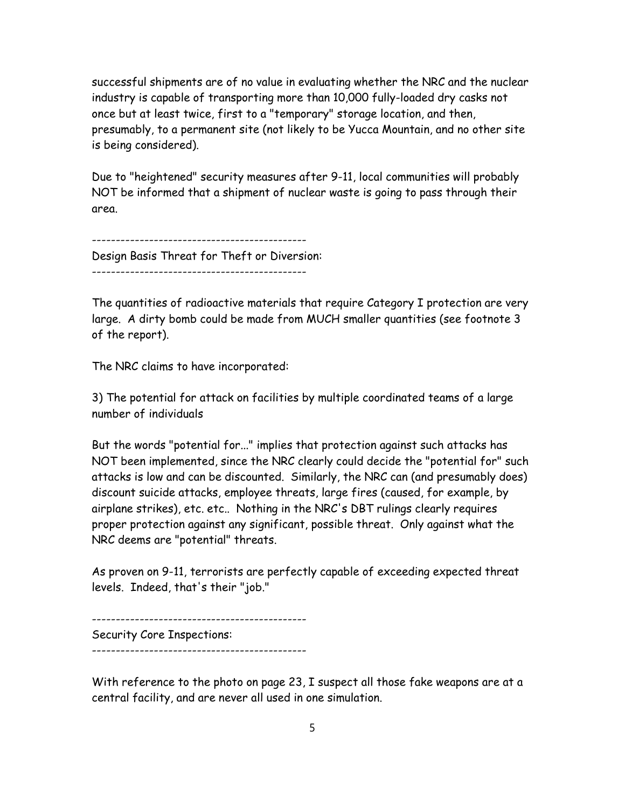successful shipments are of no value in evaluating whether the NRC and the nuclear industry is capable of transporting more than 10,000 fully-loaded dry casks not once but at least twice, first to a "temporary" storage location, and then, presumably, to a permanent site (not likely to be Yucca Mountain, and no other site is being considered).

Due to "heightened" security measures after 9-11, local communities will probably NOT be informed that a shipment of nuclear waste is going to pass through their area.

--------------------------------------------- Design Basis Threat for Theft or Diversion: ---------------------------------------------

The quantities of radioactive materials that require Category I protection are very large. A dirty bomb could be made from MUCH smaller quantities (see footnote 3 of the report).

The NRC claims to have incorporated:

3) The potential for attack on facilities by multiple coordinated teams of a large number of individuals

But the words "potential for..." implies that protection against such attacks has NOT been implemented, since the NRC clearly could decide the "potential for" such attacks is low and can be discounted. Similarly, the NRC can (and presumably does) discount suicide attacks, employee threats, large fires (caused, for example, by airplane strikes), etc. etc.. Nothing in the NRC's DBT rulings clearly requires proper protection against any significant, possible threat. Only against what the NRC deems are "potential" threats.

As proven on 9-11, terrorists are perfectly capable of exceeding expected threat levels. Indeed, that's their "job."

--------------------------------------------- Security Core Inspections: ---------------------------------------------

With reference to the photo on page 23, I suspect all those fake weapons are at a central facility, and are never all used in one simulation.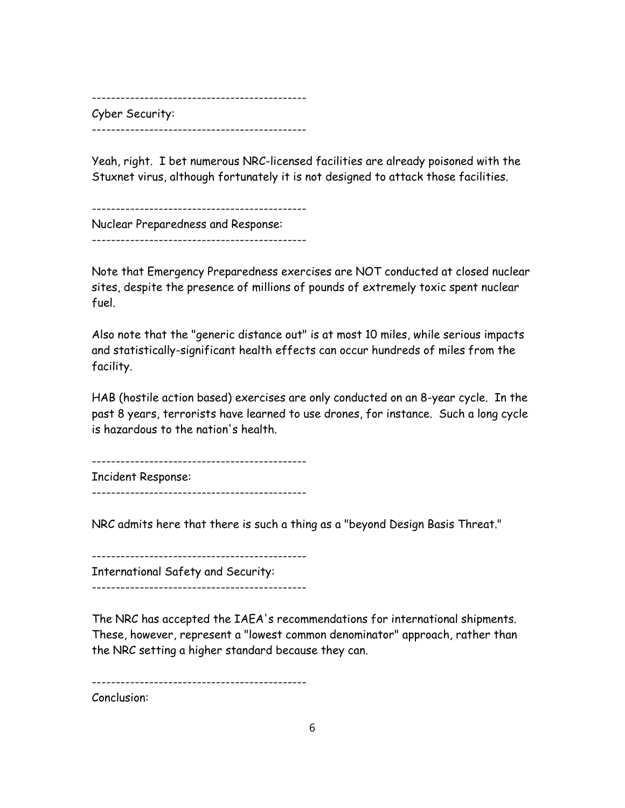--------------------------------------------- Cyber Security: ---------------------------------------------

Yeah, right. I bet numerous NRC-licensed facilities are already poisoned with the Stuxnet virus, although fortunately it is not designed to attack those facilities.

--------------------------------------------- Nuclear Preparedness and Response:

---------------------------------------------

Note that Emergency Preparedness exercises are NOT conducted at closed nuclear sites, despite the presence of millions of pounds of extremely toxic spent nuclear fuel.

Also note that the "generic distance out" is at most 10 miles, while serious impacts and statistically-significant health effects can occur hundreds of miles from the facility.

HAB (hostile action based) exercises are only conducted on an 8-year cycle. In the past 8 years, terrorists have learned to use drones, for instance. Such a long cycle is hazardous to the nation's health.

---------------------------------------------

Incident Response:

---------------------------------------------

NRC admits here that there is such a thing as a "beyond Design Basis Threat."

--------------------------------------------- International Safety and Security: ---------------------------------------------

The NRC has accepted the IAEA's recommendations for international shipments. These, however, represent a "lowest common denominator" approach, rather than the NRC setting a higher standard because they can.

---------------------------------------------

Conclusion: